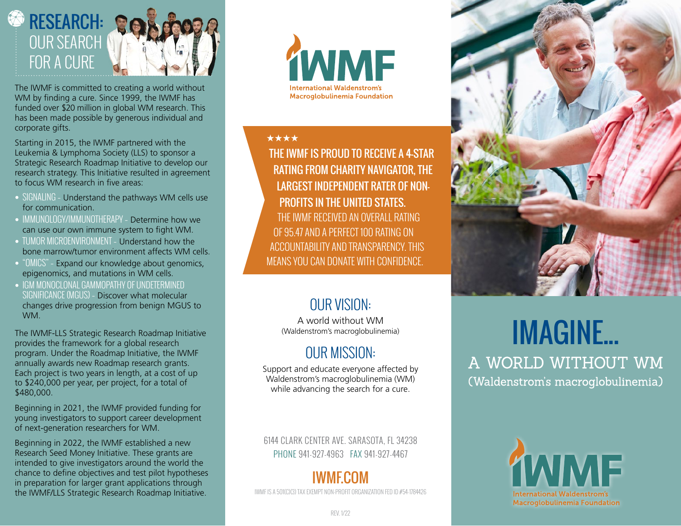

The IWMF is committed to creating a world without WM by finding a cure. Since 1999, the IWMF has funded over \$20 million in global WM research. This has been made possible by generous individual and corporate gifts.

Starting in 2015, the IWMF partnered with the Leukemia & Lymphoma Society (LLS) to sponsor a Strategic Research Roadmap Initiative to develop our research strategy. This Initiative resulted in agreement to focus WM research in five areas:

- SIGNALING Understand the pathways WM cells use for communication.
- IMMUNOLOGY/IMMUNOTHERAPY Determine how we can use our own immune system to fight WM.
- TUMOR MICROENVIRONMENT Understand how the bone marrow/tumor environment affects WM cells.
- "OMICS" Expand our knowledge about genomics, epigenomics, and mutations in WM cells.
- IGM MONOCLONAL GAMMOPATHY OF UNDETERMINED SIGNIFICANCE (MGUS) – Discover what molecular changes drive progression from benign MGUS to WM.

The IWMF-LLS Strategic Research Roadmap Initiative provides the framework for a global research program. Under the Roadmap Initiative, the IWMF annually awards new Roadmap research grants. Each project is two years in length, at a cost of up to \$240,000 per year, per project, for a total of \$480,000.

Beginning in 2021, the IWMF provided funding for young investigators to support career development of next-generation researchers for WM.

Beginning in 2022, the IWMF established a new Research Seed Money Initiative. These grants are intended to give investigators around the world the chance to define objectives and test pilot hypotheses in preparation for larger grant applications through the IWMF/LLS Strategic Research Roadmap Initiative.



#### \*\*\*\*

THE IWMF IS PROUD TO RECEIVE A 4-STAR RATING FROM CHARITY NAVIGATOR, THE LARGEST INDEPENDENT RATER OF NON-PROFITS IN THE UNITED STATES. THE IWMF RECEIVED AN OVERALL RATING OF 95.47 AND A PERFECT 100 RATING ON

ACCOUNTABILITY AND TRANSPARENCY. THIS MEANS YOU CAN DONATE WITH CONFIDENCE.

### OUR VISION:

A world without WM (Waldenstrom's macroglobulinemia)

### OUR MISSION:

Support and educate everyone affected by Waldenstrom's macroglobulinemia (WM) while advancing the search for a cure.

6144 CLARK CENTER AVE. SARASOTA, FL 34238 PHONE 941-927-4963 FAX 941-927-4467

### IWMF.COM

IWMF IS A 501(C)(3) TAX EXEMPT NON-PROFIT ORGANIZATION FED ID #54-1784426



## IMAGINE... A WORLD WITHOUT WM (Waldenstrom's macroglobulinemia)